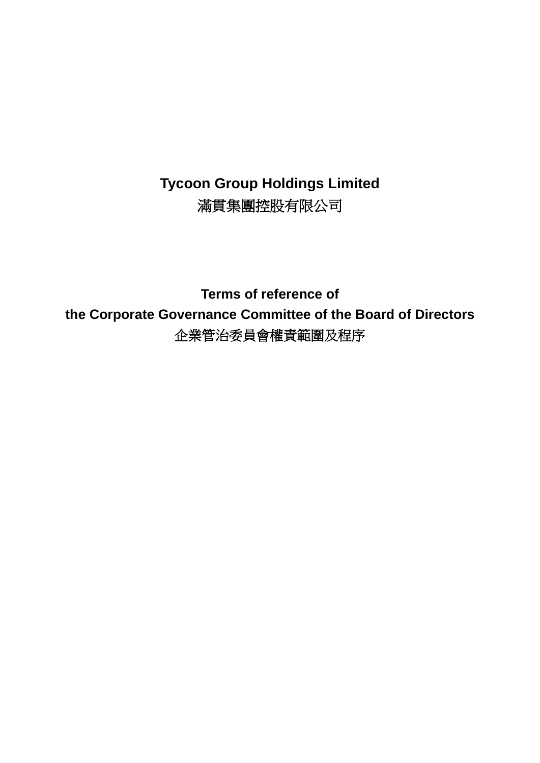# **Tycoon Group Holdings Limited** 滿貫集團控股有限公司

**Terms of reference of the Corporate Governance Committee of the Board of Directors** 企業管治委員會權責範圍及程序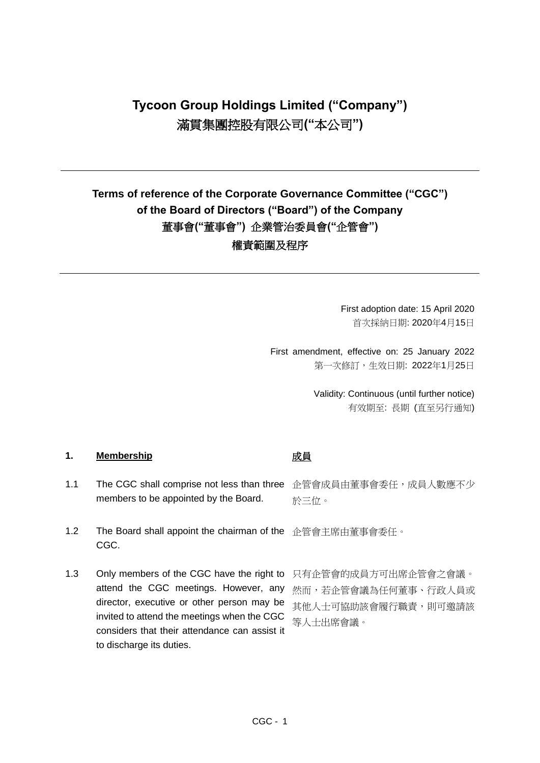# **Tycoon Group Holdings Limited ("Company")** 滿貫集團控股有限公司**("**本公司**")**

# **Terms of reference of the Corporate Governance Committee ("CGC") of the Board of Directors ("Board") of the Company** 董事會**("**董事會**")** 企業管治委員會**("**企管會**")** 權責範圍及程序

First adoption date: 15 April 2020 首次採納日期: 2020年4月15日

First amendment, effective on: 25 January 2022 第一次修訂,生效日期: 2022年1月25日

> Validity: Continuous (until further notice) 有效期至: 長期 (直至另行通知)

### 1. Membership **intervalue of the Membership intervalue of the Membership**

- 1.1 The CGC shall comprise not less than three 企管會成員由董事會委任,成員人數應不少 members to be appointed by the Board. 於三位。
- 1.2 The Board shall appoint the chairman of the 企管會主席由董事會委任。 CGC.
- 1.3 Only members of the CGC have the right to 只有企管會的成員方可出席企管會之會議。 attend the CGC meetings. However, any director, executive or other person may be invited to attend the meetings when the CGC considers that their attendance can assist it to discharge its duties.

然而,若企管會議為任何董事、行政人員或 其他人士可協助該會履行職責,則可邀請該 等人士出席會議。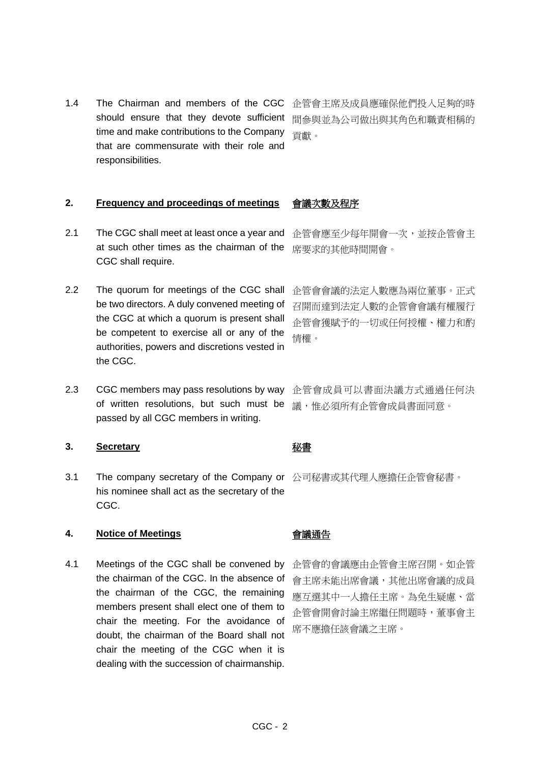1.4 The Chairman and members of the CGC 企管會主席及成員應確保他們投入足夠的時 should ensure that they devote sufficient time and make contributions to the Company that are commensurate with their role and responsibilities.

間參與並為公司做出與其角色和職責相稱的 貢獻。

## **2. Frequency and proceedings of meetings** 會議次數及程序

- 2.1 The CGC shall meet at least once a year and at such other times as the chairman of the CGC shall require.
- 2.2 The quorum for meetings of the CGC shall be two directors. A duly convened meeting of the CGC at which a quorum is present shall be competent to exercise all or any of the authorities, powers and discretions vested in the CGC.
- 2.3 CGC members may pass resolutions by way of written resolutions, but such must be passed by all CGC members in writing.

### **3. Secretary** 秘書

3.1 The company secretary of the Company or 公司秘書或其代理人應擔任企管會秘書。 his nominee shall act as the secretary of the CGC.

### **4. Notice of Meetings** 會議通告

4.1 Meetings of the CGC shall be convened by the chairman of the CGC. In the absence of the chairman of the CGC, the remaining members present shall elect one of them to chair the meeting. For the avoidance of doubt, the chairman of the Board shall not chair the meeting of the CGC when it is dealing with the succession of chairmanship.

企管會應至少每年開會一次,並按企管會主 席要求的其他時間開會。

企管會會議的法定人數應為兩位董事。正式 召開而達到法定人數的企管會會議有權履行 企管會獲賦予的一切或任何授權、權力和酌 情權。

企管會成員可以書面決議方式通過任何決 議,惟必須所有企管會成員書面同意。

企管會的會議應由企管會主席召開。如企管 會主席未能出席會議,其他出席會議的成員 應互選其中一人擔任主席。為免生疑慮、當 企管會開會討論主席繼任問題時,董事會主 席不應擔任該會議之主席。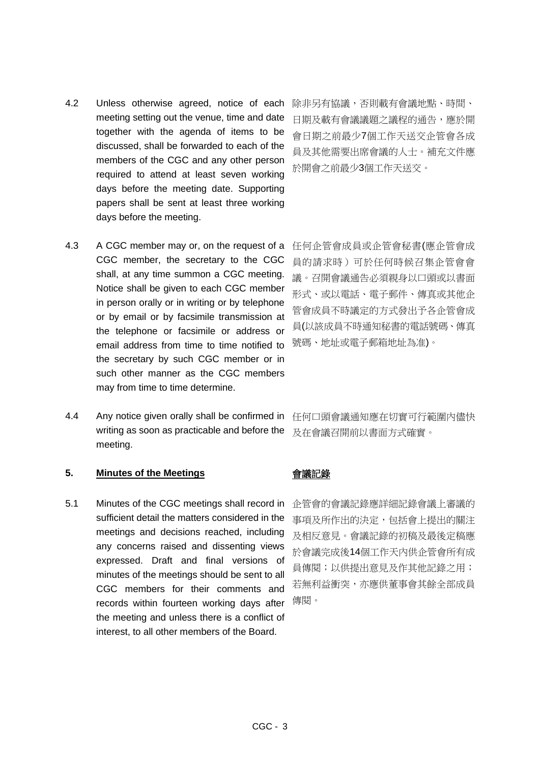- 4.2 Unless otherwise agreed, notice of each meeting setting out the venue, time and date together with the agenda of items to be discussed, shall be forwarded to each of the members of the CGC and any other person required to attend at least seven working days before the meeting date. Supporting papers shall be sent at least three working days before the meeting.
- 4.3 A CGC member may or, on the request of a CGC member, the secretary to the CGC shall, at any time summon a CGC meeting. Notice shall be given to each CGC member in person orally or in writing or by telephone or by email or by facsimile transmission at the telephone or facsimile or address or email address from time to time notified to the secretary by such CGC member or in such other manner as the CGC members may from time to time determine.
- 4.4 Any notice given orally shall be confirmed in writing as soon as practicable and before the meeting.

## **5. Minutes of the Meetings** 會議記錄

5.1 Minutes of the CGC meetings shall record in sufficient detail the matters considered in the meetings and decisions reached, including any concerns raised and dissenting views expressed. Draft and final versions of minutes of the meetings should be sent to all CGC members for their comments and records within fourteen working days after the meeting and unless there is a conflict of interest, to all other members of the Board.

除非另有協議,否則載有會議地點、時間、 日期及載有會議議題之議程的通告,應於開 會日期之前最少7個工作天送交企管會各成 員及其他需要出席會議的人士。補充文件應 於開會之前最少3個工作天送交。

任何企管會成員或企管會秘書(應企管會成 員的請求時)可於任何時候召集企管會會 議。召開會議通告必須親身以口頭或以書面 形式、或以電話、電子郵件、傳真或其他企 管會成員不時議定的方式發出予各企管會成 員(以該成員不時通知秘書的電話號碼、傳真 號碼、地址或電子郵箱地址為准)。

任何口頭會議通知應在切實可行範圍內儘快 及在會議召開前以書面方式確實。

企管會的會議記錄應詳細記錄會議上審議的 事項及所作出的決定,包括會上提出的關注 及相反意見。會議記錄的初稿及最後定稿應 於會議完成後14個工作天內供企管會所有成 員傳閱;以供提出意見及作其他記錄之用; 若無利益衝突,亦應供董事會其餘全部成員 傳閱。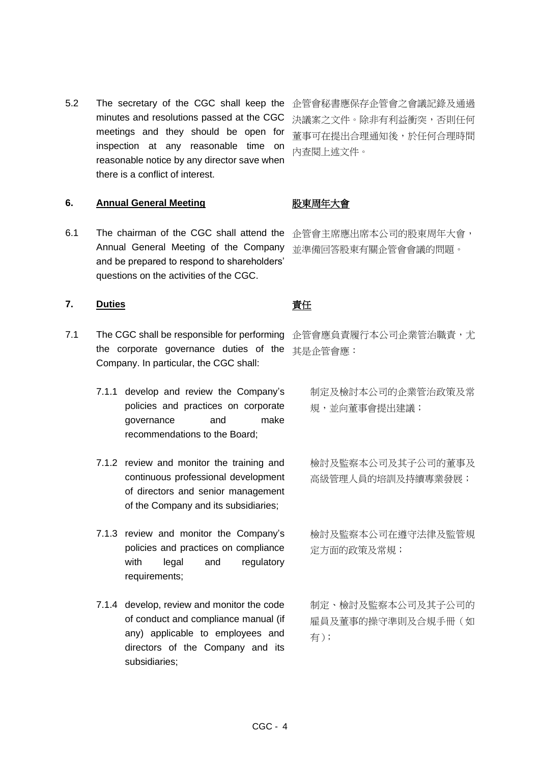5.2 The secretary of the CGC shall keep the 企管會秘書應保存企管會之會議記錄及通過 minutes and resolutions passed at the CGC meetings and they should be open for inspection at any reasonable time on reasonable notice by any director save when there is a conflict of interest.

**6. Annual General Meeting** 股東周年大會

6.1 The chairman of the CGC shall attend the 企管會主席應出席本公司的股東周年大會, Annual General Meeting of the Company and be prepared to respond to shareholders' questions on the activities of the CGC.

## 7. Duties **buties buties buties**

- 7.1 The CGC shall be responsible for performing 企管會應負責履行本公司企業管治職責,尤 the corporate governance duties of the 其是企管會應: Company. In particular, the CGC shall:
	- 7.1.1 develop and review the Company's policies and practices on corporate governance and make recommendations to the Board;
	- 7.1.2 review and monitor the training and continuous professional development of directors and senior management of the Company and its subsidiaries;
	- 7.1.3 review and monitor the Company's policies and practices on compliance with legal and regulatory requirements;
	- 7.1.4 develop, review and monitor the code of conduct and compliance manual (if any) applicable to employees and directors of the Company and its subsidiaries;

決議案之文件。除非有利益衝突,否則任何 董事可在提出合理通知後,於任何合理時間 內查閱上述文件。

並準備回答股東有關企管會會議的問題。

制定及檢討本公司的企業管治政策及常 規,並向董事會提出建議;

檢討及監察本公司及其子公司的董事及 高級管理人員的培訓及持續專業發展;

檢討及監察本公司在遵守法律及監管規 定方面的政策及常規;

制定、檢討及監察本公司及其子公司的 雇員及董事的操守準則及合規手冊(如 有);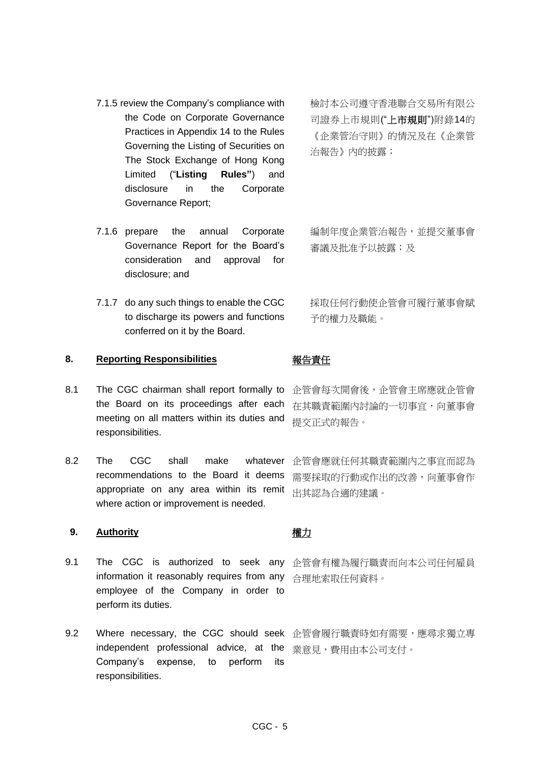- 7.1.5 review the Company's compliance with the Code on Corporate Governance Practices in Appendix 14 to the Rules Governing the Listing of Securities on The Stock Exchange of Hong Kong Limited ("**Listing Rules"**) and disclosure in the Corporate Governance Report;
- 7.1.6 prepare the annual Corporate Governance Report for the Board's consideration and approval for disclosure; and
- 7.1.7 do any such things to enable the CGC to discharge its powers and functions conferred on it by the Board.

### **8. Reporting Responsibilities** 報告責任

- 8.1 The CGC chairman shall report formally to the Board on its proceedings after each meeting on all matters within its duties and responsibilities.
- 8.2 The CGC shall make whatever recommendations to the Board it deems appropriate on any area within its remit where action or improvement is needed.

### **9. Authority** 權力

- 9.1 The CGC is authorized to seek any 企管會有權為履行職責而向本公司任何雇員 information it reasonably requires from any 合理地索取任何資料。 employee of the Company in order to perform its duties.
- 9.2 Where necessary, the CGC should seek 企管會履行職責時如有需要,應尋求獨立專 independent professional advice, at the <sub>業意見</sub>,費用由本公司支付。 Company's expense, to perform its responsibilities.

檢討本公司遵守香港聯合交易所有限公 司證券上市規則("上市規則")附錄14的 《企業管治守則》的情況及在《企業管 治報告》內的披露;

編制年度企業管治報告,並提交董事會 審議及批准予以披露;及

採取任何行動使企管會可履行董事會賦 予的權力及職能。

企管會每次開會後,企管會主席應就企管會 在其職責範圍內討論的一切事宜,向董事會 提交正式的報告。

企管會應就任何其職責範圍內之事宜而認為 需要採取的行動或作出的改善,向董事會作 出其認為合適的建議。